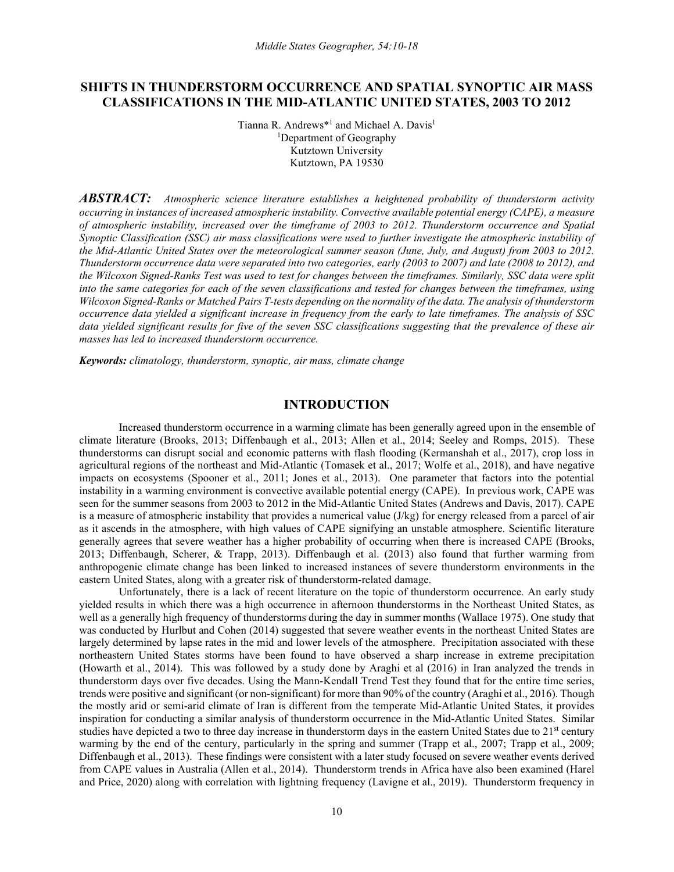# **SHIFTS IN THUNDERSTORM OCCURRENCE AND SPATIAL SYNOPTIC AIR MASS CLASSIFICATIONS IN THE MID-ATLANTIC UNITED STATES, 2003 TO 2012**

Tianna R. Andrews<sup>\*1</sup> and Michael A. Davis<sup>1</sup> 1 Department of Geography Kutztown University Kutztown, PA 19530

*ABSTRACT: Atmospheric science literature establishes a heightened probability of thunderstorm activity occurring in instances of increased atmospheric instability. Convective available potential energy (CAPE), a measure of atmospheric instability, increased over the timeframe of 2003 to 2012. Thunderstorm occurrence and Spatial Synoptic Classification (SSC) air mass classifications were used to further investigate the atmospheric instability of the Mid-Atlantic United States over the meteorological summer season (June, July, and August) from 2003 to 2012. Thunderstorm occurrence data were separated into two categories, early (2003 to 2007) and late (2008 to 2012), and the Wilcoxon Signed-Ranks Test was used to test for changes between the timeframes. Similarly, SSC data were split into the same categories for each of the seven classifications and tested for changes between the timeframes, using Wilcoxon Signed-Ranks or Matched Pairs T-tests depending on the normality of the data. The analysis of thunderstorm occurrence data yielded a significant increase in frequency from the early to late timeframes. The analysis of SSC data yielded significant results for five of the seven SSC classifications suggesting that the prevalence of these air masses has led to increased thunderstorm occurrence.*

*Keywords: climatology, thunderstorm, synoptic, air mass, climate change*

## **INTRODUCTION**

Increased thunderstorm occurrence in a warming climate has been generally agreed upon in the ensemble of climate literature (Brooks, 2013; Diffenbaugh et al., 2013; Allen et al., 2014; Seeley and Romps, 2015). These thunderstorms can disrupt social and economic patterns with flash flooding (Kermanshah et al., 2017), crop loss in agricultural regions of the northeast and Mid-Atlantic (Tomasek et al., 2017; Wolfe et al., 2018), and have negative impacts on ecosystems (Spooner et al., 2011; Jones et al., 2013). One parameter that factors into the potential instability in a warming environment is convective available potential energy (CAPE). In previous work, CAPE was seen for the summer seasons from 2003 to 2012 in the Mid-Atlantic United States (Andrews and Davis, 2017). CAPE is a measure of atmospheric instability that provides a numerical value (J/kg) for energy released from a parcel of air as it ascends in the atmosphere, with high values of CAPE signifying an unstable atmosphere. Scientific literature generally agrees that severe weather has a higher probability of occurring when there is increased CAPE (Brooks, 2013; Diffenbaugh, Scherer, & Trapp, 2013). Diffenbaugh et al. (2013) also found that further warming from anthropogenic climate change has been linked to increased instances of severe thunderstorm environments in the eastern United States, along with a greater risk of thunderstorm-related damage.

Unfortunately, there is a lack of recent literature on the topic of thunderstorm occurrence. An early study yielded results in which there was a high occurrence in afternoon thunderstorms in the Northeast United States, as well as a generally high frequency of thunderstorms during the day in summer months (Wallace 1975). One study that was conducted by Hurlbut and Cohen (2014) suggested that severe weather events in the northeast United States are largely determined by lapse rates in the mid and lower levels of the atmosphere. Precipitation associated with these northeastern United States storms have been found to have observed a sharp increase in extreme precipitation (Howarth et al., 2014). This was followed by a study done by Araghi et al (2016) in Iran analyzed the trends in thunderstorm days over five decades. Using the Mann-Kendall Trend Test they found that for the entire time series, trends were positive and significant (or non-significant) for more than 90% of the country (Araghi et al., 2016). Though the mostly arid or semi-arid climate of Iran is different from the temperate Mid-Atlantic United States, it provides inspiration for conducting a similar analysis of thunderstorm occurrence in the Mid-Atlantic United States. Similar studies have depicted a two to three day increase in thunderstorm days in the eastern United States due to 21st century warming by the end of the century, particularly in the spring and summer (Trapp et al., 2007; Trapp et al., 2009; Diffenbaugh et al., 2013). These findings were consistent with a later study focused on severe weather events derived from CAPE values in Australia (Allen et al., 2014). Thunderstorm trends in Africa have also been examined (Harel and Price, 2020) along with correlation with lightning frequency (Lavigne et al., 2019). Thunderstorm frequency in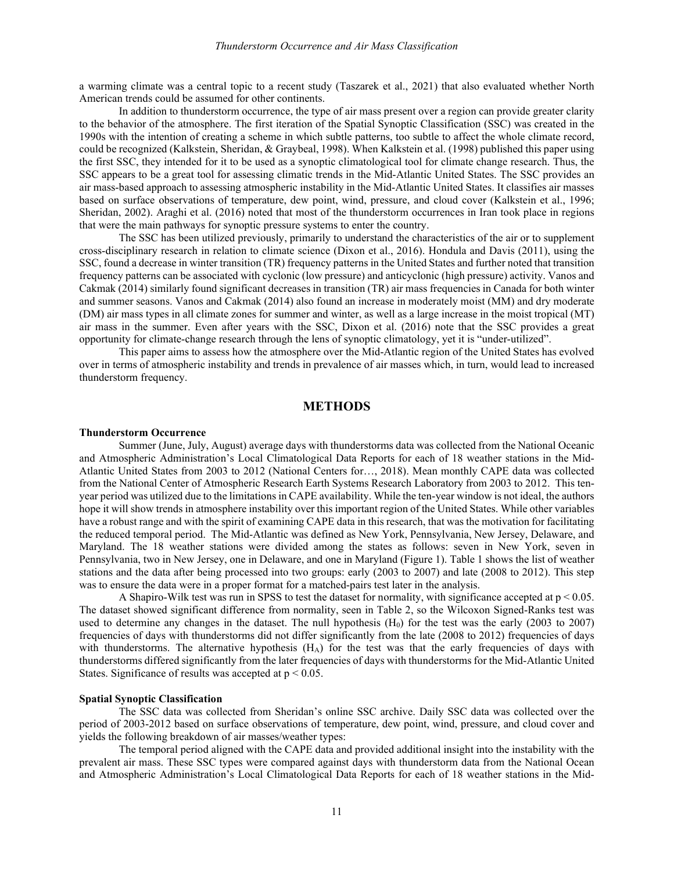a warming climate was a central topic to a recent study (Taszarek et al., 2021) that also evaluated whether North American trends could be assumed for other continents.

In addition to thunderstorm occurrence, the type of air mass present over a region can provide greater clarity to the behavior of the atmosphere. The first iteration of the Spatial Synoptic Classification (SSC) was created in the 1990s with the intention of creating a scheme in which subtle patterns, too subtle to affect the whole climate record, could be recognized (Kalkstein, Sheridan, & Graybeal, 1998). When Kalkstein et al. (1998) published this paper using the first SSC, they intended for it to be used as a synoptic climatological tool for climate change research. Thus, the SSC appears to be a great tool for assessing climatic trends in the Mid-Atlantic United States. The SSC provides an air mass-based approach to assessing atmospheric instability in the Mid-Atlantic United States. It classifies air masses based on surface observations of temperature, dew point, wind, pressure, and cloud cover (Kalkstein et al., 1996; Sheridan, 2002). Araghi et al. (2016) noted that most of the thunderstorm occurrences in Iran took place in regions that were the main pathways for synoptic pressure systems to enter the country.

The SSC has been utilized previously, primarily to understand the characteristics of the air or to supplement cross-disciplinary research in relation to climate science (Dixon et al., 2016). Hondula and Davis (2011), using the SSC, found a decrease in winter transition (TR) frequency patterns in the United States and further noted that transition frequency patterns can be associated with cyclonic (low pressure) and anticyclonic (high pressure) activity. Vanos and Cakmak (2014) similarly found significant decreases in transition (TR) air mass frequencies in Canada for both winter and summer seasons. Vanos and Cakmak (2014) also found an increase in moderately moist (MM) and dry moderate (DM) air mass types in all climate zones for summer and winter, as well as a large increase in the moist tropical (MT) air mass in the summer. Even after years with the SSC, Dixon et al. (2016) note that the SSC provides a great opportunity for climate-change research through the lens of synoptic climatology, yet it is "under-utilized".

This paper aims to assess how the atmosphere over the Mid-Atlantic region of the United States has evolved over in terms of atmospheric instability and trends in prevalence of air masses which, in turn, would lead to increased thunderstorm frequency.

# **METHODS**

#### **Thunderstorm Occurrence**

Summer (June, July, August) average days with thunderstorms data was collected from the National Oceanic and Atmospheric Administration's Local Climatological Data Reports for each of 18 weather stations in the Mid-Atlantic United States from 2003 to 2012 (National Centers for…, 2018). Mean monthly CAPE data was collected from the National Center of Atmospheric Research Earth Systems Research Laboratory from 2003 to 2012. This tenyear period was utilized due to the limitations in CAPE availability. While the ten-year window is not ideal, the authors hope it will show trends in atmosphere instability over this important region of the United States. While other variables have a robust range and with the spirit of examining CAPE data in this research, that was the motivation for facilitating the reduced temporal period. The Mid-Atlantic was defined as New York, Pennsylvania, New Jersey, Delaware, and Maryland. The 18 weather stations were divided among the states as follows: seven in New York, seven in Pennsylvania, two in New Jersey, one in Delaware, and one in Maryland (Figure 1). Table 1 shows the list of weather stations and the data after being processed into two groups: early (2003 to 2007) and late (2008 to 2012). This step was to ensure the data were in a proper format for a matched-pairs test later in the analysis.

A Shapiro-Wilk test was run in SPSS to test the dataset for normality, with significance accepted at p < 0.05. The dataset showed significant difference from normality, seen in Table 2, so the Wilcoxon Signed-Ranks test was used to determine any changes in the dataset. The null hypothesis  $(H<sub>0</sub>)$  for the test was the early (2003 to 2007) frequencies of days with thunderstorms did not differ significantly from the late (2008 to 2012) frequencies of days with thunderstorms. The alternative hypothesis  $(H_A)$  for the test was that the early frequencies of days with thunderstorms differed significantly from the later frequencies of days with thunderstorms for the Mid-Atlantic United States. Significance of results was accepted at  $p < 0.05$ .

## **Spatial Synoptic Classification**

The SSC data was collected from Sheridan's online SSC archive. Daily SSC data was collected over the period of 2003-2012 based on surface observations of temperature, dew point, wind, pressure, and cloud cover and yields the following breakdown of air masses/weather types:

The temporal period aligned with the CAPE data and provided additional insight into the instability with the prevalent air mass. These SSC types were compared against days with thunderstorm data from the National Ocean and Atmospheric Administration's Local Climatological Data Reports for each of 18 weather stations in the Mid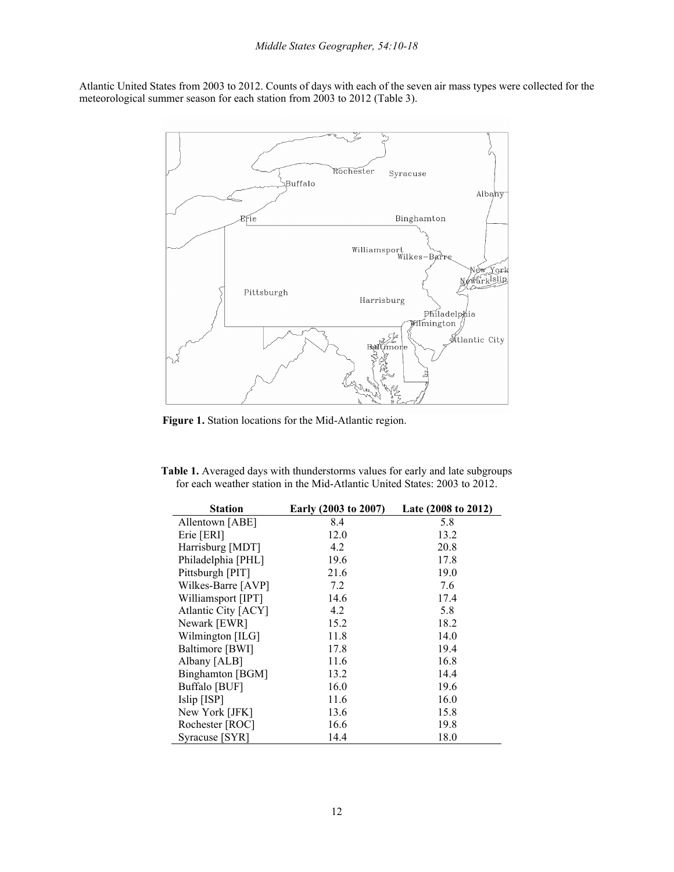Atlantic United States from 2003 to 2012. Counts of days with each of the seven air mass types were collected for the meteorological summer season for each station from 2003 to 2012 (Table 3).



**Figure 1.** Station locations for the Mid-Atlantic region.

**Table 1.** Averaged days with thunderstorms values for early and late subgroups for each weather station in the Mid-Atlantic United States: 2003 to 2012.

| <b>Station</b>      | Early (2003 to 2007) | Late (2008 to 2012) |
|---------------------|----------------------|---------------------|
| Allentown [ABE]     | 8.4                  | 5.8                 |
| Erie [ERI]          | 12.0                 | 13.2                |
| Harrisburg [MDT]    | 4.2                  | 20.8                |
| Philadelphia [PHL]  | 19.6                 | 17.8                |
| Pittsburgh [PIT]    | 21.6                 | 19.0                |
| Wilkes-Barre [AVP]  | 7.2                  | 7.6                 |
| Williamsport [IPT]  | 14.6                 | 17.4                |
| Atlantic City [ACY] | 4.2                  | 5.8                 |
| Newark [EWR]        | 15.2                 | 18.2                |
| Wilmington [ILG]    | 11.8                 | 14.0                |
| Baltimore [BWI]     | 17.8                 | 19.4                |
| Albany [ALB]        | 11.6                 | 16.8                |
| Binghamton [BGM]    | 13.2                 | 14.4                |
| Buffalo [BUF]       | 16.0                 | 19.6                |
| Islip [ISP]         | 11.6                 | 16.0                |
| New York [JFK]      | 13.6                 | 15.8                |
| Rochester [ROC]     | 16.6                 | 19.8                |
| Syracuse [SYR]      | 14.4                 | 18.0                |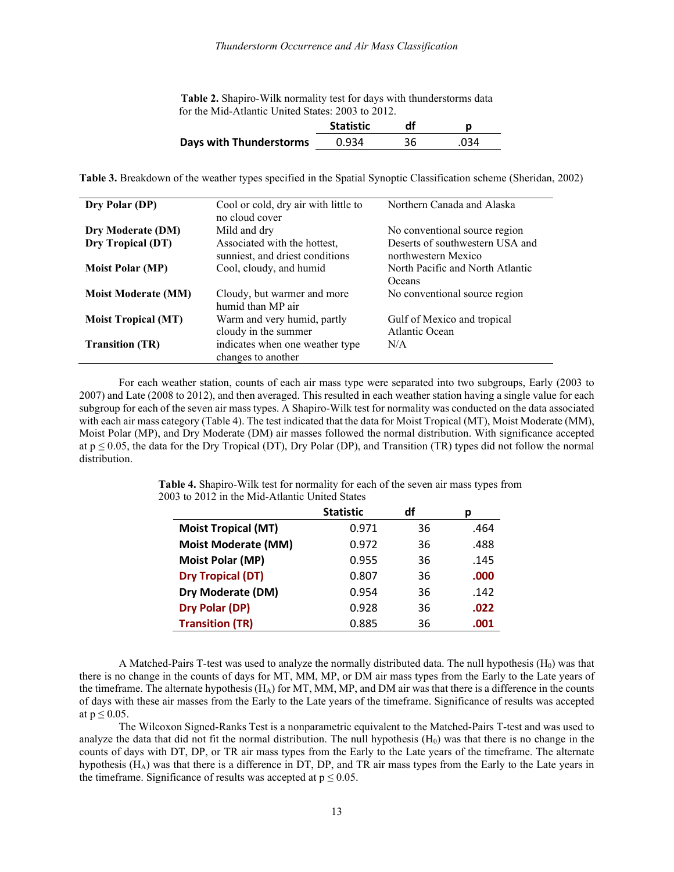| Table 2. Shapiro-Wilk normality test for days with thunderstorms data |
|-----------------------------------------------------------------------|
| for the Mid-Atlantic United States: 2003 to 2012.                     |

|                         | <b>Statistic</b> | df |      |
|-------------------------|------------------|----|------|
| Days with Thunderstorms | 0.934            | 36 | .034 |

**Table 3.** Breakdown of the weather types specified in the Spatial Synoptic Classification scheme (Sheridan, 2002)

| Dry Polar (DP)             | Cool or cold, dry air with little to<br>no cloud cover          | Northern Canada and Alaska                             |
|----------------------------|-----------------------------------------------------------------|--------------------------------------------------------|
| Dry Moderate (DM)          | Mild and dry                                                    | No conventional source region                          |
| Dry Tropical (DT)          | Associated with the hottest,<br>sunniest, and driest conditions | Deserts of southwestern USA and<br>northwestern Mexico |
| <b>Moist Polar (MP)</b>    | Cool, cloudy, and humid                                         | North Pacific and North Atlantic<br>Oceans             |
| <b>Moist Moderate (MM)</b> | Cloudy, but warmer and more<br>humid than MP air                | No conventional source region                          |
| <b>Moist Tropical (MT)</b> | Warm and very humid, partly<br>cloudy in the summer             | Gulf of Mexico and tropical<br>Atlantic Ocean          |
| <b>Transition (TR)</b>     | indicates when one weather type<br>changes to another           | N/A                                                    |

For each weather station, counts of each air mass type were separated into two subgroups, Early (2003 to 2007) and Late (2008 to 2012), and then averaged. This resulted in each weather station having a single value for each subgroup for each of the seven air mass types. A Shapiro-Wilk test for normality was conducted on the data associated with each air mass category (Table 4). The test indicated that the data for Moist Tropical (MT), Moist Moderate (MM), Moist Polar (MP), and Dry Moderate (DM) air masses followed the normal distribution. With significance accepted at  $p \le 0.05$ , the data for the Dry Tropical (DT), Dry Polar (DP), and Transition (TR) types did not follow the normal distribution.

|                            | <b>Statistic</b> | df | D    |
|----------------------------|------------------|----|------|
| <b>Moist Tropical (MT)</b> | 0.971            | 36 | .464 |
| <b>Moist Moderate (MM)</b> | 0.972            | 36 | .488 |
| Moist Polar (MP)           | 0.955            | 36 | .145 |
| <b>Dry Tropical (DT)</b>   | 0.807            | 36 | .000 |
| Dry Moderate (DM)          | 0.954            | 36 | .142 |
| Dry Polar (DP)             | 0.928            | 36 | .022 |
| <b>Transition (TR)</b>     | 0.885            | 36 | .001 |

**Table 4.** Shapiro-Wilk test for normality for each of the seven air mass types from 2003 to 2012 in the Mid-Atlantic United States

A Matched-Pairs T-test was used to analyze the normally distributed data. The null hypothesis  $(H_0)$  was that there is no change in the counts of days for MT, MM, MP, or DM air mass types from the Early to the Late years of the timeframe. The alternate hypothesis ( $H_A$ ) for MT, MM, MP, and DM air was that there is a difference in the counts of days with these air masses from the Early to the Late years of the timeframe. Significance of results was accepted at  $p \leq 0.05$ .

The Wilcoxon Signed-Ranks Test is a nonparametric equivalent to the Matched-Pairs T-test and was used to analyze the data that did not fit the normal distribution. The null hypothesis  $(H_0)$  was that there is no change in the counts of days with DT, DP, or TR air mass types from the Early to the Late years of the timeframe. The alternate hypothesis (HA) was that there is a difference in DT, DP, and TR air mass types from the Early to the Late years in the timeframe. Significance of results was accepted at  $p \le 0.05$ .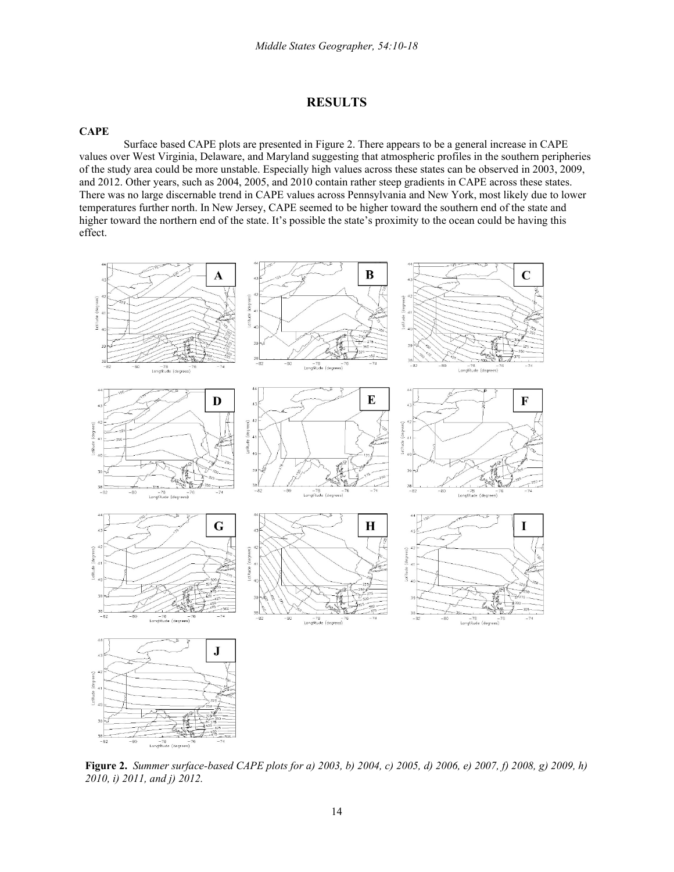# **RESULTS**

## **CAPE**

Surface based CAPE plots are presented in Figure 2. There appears to be a general increase in CAPE values over West Virginia, Delaware, and Maryland suggesting that atmospheric profiles in the southern peripheries of the study area could be more unstable. Especially high values across these states can be observed in 2003, 2009, and 2012. Other years, such as 2004, 2005, and 2010 contain rather steep gradients in CAPE across these states. There was no large discernable trend in CAPE values across Pennsylvania and New York, most likely due to lower temperatures further north. In New Jersey, CAPE seemed to be higher toward the southern end of the state and higher toward the northern end of the state. It's possible the state's proximity to the ocean could be having this effect.



**Figure 2.** *Summer surface-based CAPE plots for a) 2003, b) 2004, c) 2005, d) 2006, e) 2007, f) 2008, g) 2009, h) 2010, i) 2011, and j) 2012.*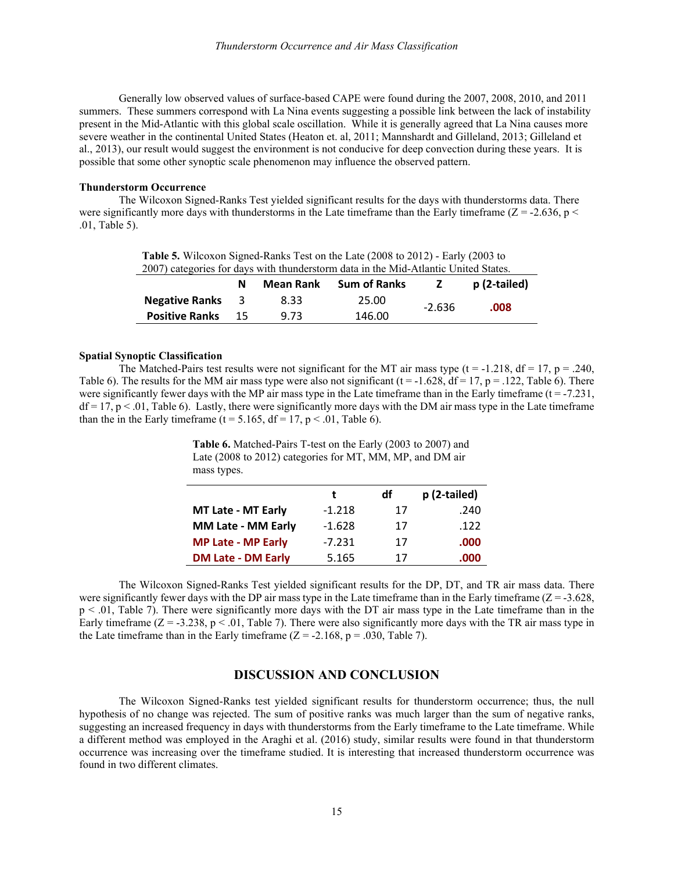Generally low observed values of surface-based CAPE were found during the 2007, 2008, 2010, and 2011 summers. These summers correspond with La Nina events suggesting a possible link between the lack of instability present in the Mid-Atlantic with this global scale oscillation. While it is generally agreed that La Nina causes more severe weather in the continental United States (Heaton et. al, 2011; Mannshardt and Gilleland, 2013; Gilleland et al., 2013), our result would suggest the environment is not conducive for deep convection during these years. It is possible that some other synoptic scale phenomenon may influence the observed pattern.

### **Thunderstorm Occurrence**

The Wilcoxon Signed-Ranks Test yielded significant results for the days with thunderstorms data. There were significantly more days with thunderstorms in the Late timeframe than the Early timeframe ( $Z = -2.636$ , p  $\lt$ .01, Table 5).

| Table 5. Wilcoxon Signed-Ranks Test on the Late (2008 to 2012) - Early (2003 to     |  |
|-------------------------------------------------------------------------------------|--|
| 2007) categories for days with thunderstorm data in the Mid-Atlantic United States. |  |

| 2007) calegories for days with thunderstorm data in the iving relative Omica Blaces. |     |           |                     |          |              |
|--------------------------------------------------------------------------------------|-----|-----------|---------------------|----------|--------------|
|                                                                                      | N   | Mean Rank | <b>Sum of Ranks</b> |          | p (2-tailed) |
| <b>Negative Ranks</b>                                                                | - 3 | 8.33      | 25.00               | $-2.636$ | .008         |
| <b>Positive Ranks</b>                                                                | 15  | 9.73      | 146.00              |          |              |

#### **Spatial Synoptic Classification**

The Matched-Pairs test results were not significant for the MT air mass type (t = -1.218, df = 17, p = .240, Table 6). The results for the MM air mass type were also not significant (t = -1.628, df = 17, p = .122, Table 6). There were significantly fewer days with the MP air mass type in the Late timeframe than in the Early timeframe  $(t = -7.231,$  $df = 17$ ,  $p < 0.01$ , Table 6). Lastly, there were significantly more days with the DM air mass type in the Late timeframe than the in the Early timeframe ( $t = 5.165$ ,  $df = 17$ ,  $p < .01$ , Table 6).

**Table 6.** Matched-Pairs T-test on the Early (2003 to 2007) and Late (2008 to 2012) categories for MT, MM, MP, and DM air mass types.

|                           | t        | df | p (2-tailed) |
|---------------------------|----------|----|--------------|
| <b>MT Late - MT Early</b> | $-1.218$ | 17 | .240         |
| <b>MM Late - MM Early</b> | $-1.628$ | 17 | .122         |
| <b>MP Late - MP Early</b> | $-7.231$ | 17 | .000         |
| <b>DM Late - DM Early</b> | 5.165    | 17 | .000         |

The Wilcoxon Signed-Ranks Test yielded significant results for the DP, DT, and TR air mass data. There were significantly fewer days with the DP air mass type in the Late timeframe than in the Early timeframe  $(Z = -3.628,$  $p < .01$ , Table 7). There were significantly more days with the DT air mass type in the Late timeframe than in the Early timeframe  $(Z = -3.238, p < .01,$  Table 7). There were also significantly more days with the TR air mass type in the Late timeframe than in the Early timeframe  $(Z = -2.168, p = .030,$  Table 7).

## **DISCUSSION AND CONCLUSION**

The Wilcoxon Signed-Ranks test yielded significant results for thunderstorm occurrence; thus, the null hypothesis of no change was rejected. The sum of positive ranks was much larger than the sum of negative ranks, suggesting an increased frequency in days with thunderstorms from the Early timeframe to the Late timeframe. While a different method was employed in the Araghi et al. (2016) study, similar results were found in that thunderstorm occurrence was increasing over the timeframe studied. It is interesting that increased thunderstorm occurrence was found in two different climates.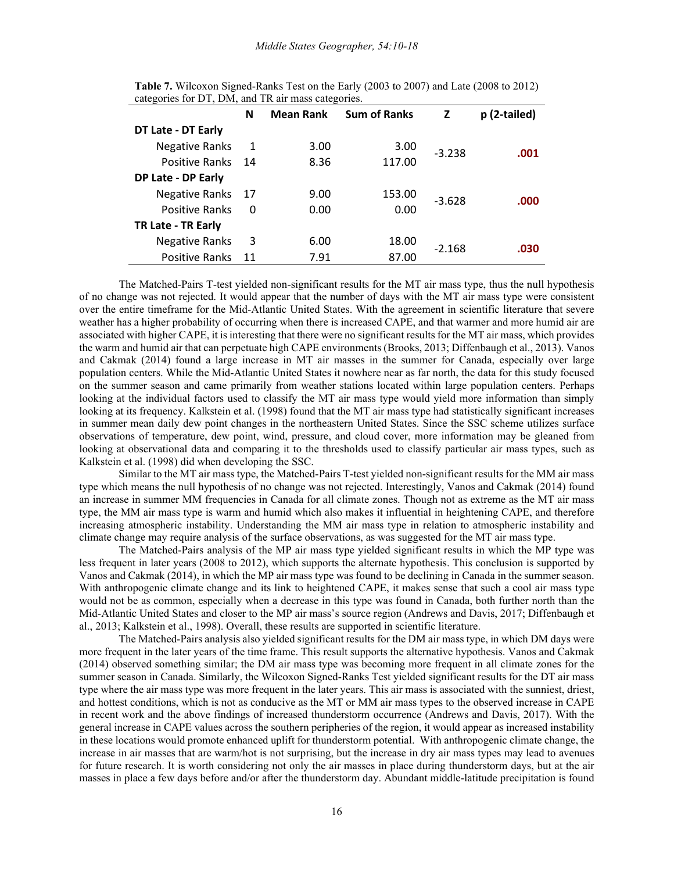|                       | N  | <b>Mean Rank</b> | <b>Sum of Ranks</b> | Z        | p (2-tailed) |
|-----------------------|----|------------------|---------------------|----------|--------------|
| DT Late - DT Early    |    |                  |                     |          |              |
| <b>Negative Ranks</b> | 1  | 3.00             | 3.00                | $-3.238$ | .001         |
| Positive Ranks 14     |    | 8.36             | 117.00              |          |              |
| DP Late - DP Early    |    |                  |                     |          |              |
| Negative Ranks 17     |    | 9.00             | 153.00              | $-3.628$ | .000         |
| <b>Positive Ranks</b> | 0  | 0.00             | 0.00                |          |              |
| TR Late - TR Early    |    |                  |                     |          |              |
| <b>Negative Ranks</b> | 3  | 6.00             | 18.00               | $-2.168$ | .030         |
| <b>Positive Ranks</b> | 11 | 7.91             | 87.00               |          |              |

**Table 7.** Wilcoxon Signed-Ranks Test on the Early (2003 to 2007) and Late (2008 to 2012) categories for DT, DM, and TR air mass categories.

The Matched-Pairs T-test yielded non-significant results for the MT air mass type, thus the null hypothesis of no change was not rejected. It would appear that the number of days with the MT air mass type were consistent over the entire timeframe for the Mid-Atlantic United States. With the agreement in scientific literature that severe weather has a higher probability of occurring when there is increased CAPE, and that warmer and more humid air are associated with higher CAPE, it is interesting that there were no significant results for the MT air mass, which provides the warm and humid air that can perpetuate high CAPE environments (Brooks, 2013; Diffenbaugh et al., 2013). Vanos and Cakmak (2014) found a large increase in MT air masses in the summer for Canada, especially over large population centers. While the Mid-Atlantic United States it nowhere near as far north, the data for this study focused on the summer season and came primarily from weather stations located within large population centers. Perhaps looking at the individual factors used to classify the MT air mass type would yield more information than simply looking at its frequency. Kalkstein et al. (1998) found that the MT air mass type had statistically significant increases in summer mean daily dew point changes in the northeastern United States. Since the SSC scheme utilizes surface observations of temperature, dew point, wind, pressure, and cloud cover, more information may be gleaned from looking at observational data and comparing it to the thresholds used to classify particular air mass types, such as Kalkstein et al. (1998) did when developing the SSC.

Similar to the MT air mass type, the Matched-Pairs T-test yielded non-significant results for the MM air mass type which means the null hypothesis of no change was not rejected. Interestingly, Vanos and Cakmak (2014) found an increase in summer MM frequencies in Canada for all climate zones. Though not as extreme as the MT air mass type, the MM air mass type is warm and humid which also makes it influential in heightening CAPE, and therefore increasing atmospheric instability. Understanding the MM air mass type in relation to atmospheric instability and climate change may require analysis of the surface observations, as was suggested for the MT air mass type.

The Matched-Pairs analysis of the MP air mass type yielded significant results in which the MP type was less frequent in later years (2008 to 2012), which supports the alternate hypothesis. This conclusion is supported by Vanos and Cakmak (2014), in which the MP air mass type was found to be declining in Canada in the summer season. With anthropogenic climate change and its link to heightened CAPE, it makes sense that such a cool air mass type would not be as common, especially when a decrease in this type was found in Canada, both further north than the Mid-Atlantic United States and closer to the MP air mass's source region (Andrews and Davis, 2017; Diffenbaugh et al., 2013; Kalkstein et al., 1998). Overall, these results are supported in scientific literature.

The Matched-Pairs analysis also yielded significant results for the DM air mass type, in which DM days were more frequent in the later years of the time frame. This result supports the alternative hypothesis. Vanos and Cakmak (2014) observed something similar; the DM air mass type was becoming more frequent in all climate zones for the summer season in Canada. Similarly, the Wilcoxon Signed-Ranks Test yielded significant results for the DT air mass type where the air mass type was more frequent in the later years. This air mass is associated with the sunniest, driest, and hottest conditions, which is not as conducive as the MT or MM air mass types to the observed increase in CAPE in recent work and the above findings of increased thunderstorm occurrence (Andrews and Davis, 2017). With the general increase in CAPE values across the southern peripheries of the region, it would appear as increased instability in these locations would promote enhanced uplift for thunderstorm potential. With anthropogenic climate change, the increase in air masses that are warm/hot is not surprising, but the increase in dry air mass types may lead to avenues for future research. It is worth considering not only the air masses in place during thunderstorm days, but at the air masses in place a few days before and/or after the thunderstorm day. Abundant middle-latitude precipitation is found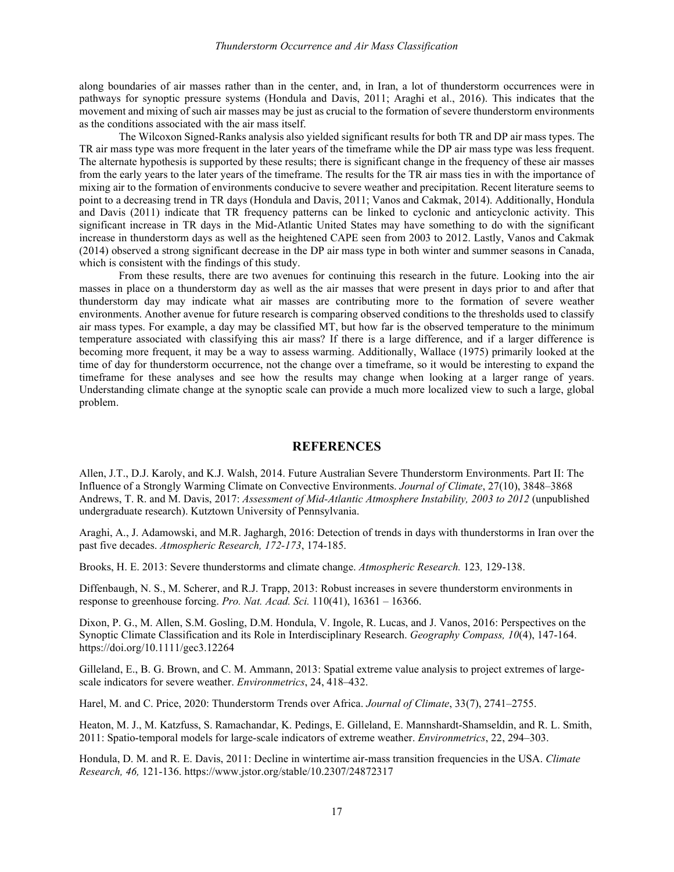along boundaries of air masses rather than in the center, and, in Iran, a lot of thunderstorm occurrences were in pathways for synoptic pressure systems (Hondula and Davis, 2011; Araghi et al., 2016). This indicates that the movement and mixing of such air masses may be just as crucial to the formation of severe thunderstorm environments as the conditions associated with the air mass itself.

The Wilcoxon Signed-Ranks analysis also yielded significant results for both TR and DP air mass types. The TR air mass type was more frequent in the later years of the timeframe while the DP air mass type was less frequent. The alternate hypothesis is supported by these results; there is significant change in the frequency of these air masses from the early years to the later years of the timeframe. The results for the TR air mass ties in with the importance of mixing air to the formation of environments conducive to severe weather and precipitation. Recent literature seems to point to a decreasing trend in TR days (Hondula and Davis, 2011; Vanos and Cakmak, 2014). Additionally, Hondula and Davis (2011) indicate that TR frequency patterns can be linked to cyclonic and anticyclonic activity. This significant increase in TR days in the Mid-Atlantic United States may have something to do with the significant increase in thunderstorm days as well as the heightened CAPE seen from 2003 to 2012. Lastly, Vanos and Cakmak (2014) observed a strong significant decrease in the DP air mass type in both winter and summer seasons in Canada, which is consistent with the findings of this study.

From these results, there are two avenues for continuing this research in the future. Looking into the air masses in place on a thunderstorm day as well as the air masses that were present in days prior to and after that thunderstorm day may indicate what air masses are contributing more to the formation of severe weather environments. Another avenue for future research is comparing observed conditions to the thresholds used to classify air mass types. For example, a day may be classified MT, but how far is the observed temperature to the minimum temperature associated with classifying this air mass? If there is a large difference, and if a larger difference is becoming more frequent, it may be a way to assess warming. Additionally, Wallace (1975) primarily looked at the time of day for thunderstorm occurrence, not the change over a timeframe, so it would be interesting to expand the timeframe for these analyses and see how the results may change when looking at a larger range of years. Understanding climate change at the synoptic scale can provide a much more localized view to such a large, global problem.

#### **REFERENCES**

Allen, J.T., D.J. Karoly, and K.J. Walsh, 2014. Future Australian Severe Thunderstorm Environments. Part II: The Influence of a Strongly Warming Climate on Convective Environments. *Journal of Climate*, 27(10), 3848–3868 Andrews, T. R. and M. Davis, 2017: *Assessment of Mid-Atlantic Atmosphere Instability, 2003 to 2012* (unpublished undergraduate research). Kutztown University of Pennsylvania.

Araghi, A., J. Adamowski, and M.R. Jaghargh, 2016: Detection of trends in days with thunderstorms in Iran over the past five decades. *Atmospheric Research, 172-173*, 174-185.

Brooks, H. E. 2013: Severe thunderstorms and climate change. *Atmospheric Research.* 123*,* 129-138.

Diffenbaugh, N. S., M. Scherer, and R.J. Trapp, 2013: Robust increases in severe thunderstorm environments in response to greenhouse forcing. *Pro. Nat. Acad. Sci.* 110(41), 16361 – 16366.

Dixon, P. G., M. Allen, S.M. Gosling, D.M. Hondula, V. Ingole, R. Lucas, and J. Vanos, 2016: Perspectives on the Synoptic Climate Classification and its Role in Interdisciplinary Research. *Geography Compass, 10*(4), 147-164. https://doi.org/10.1111/gec3.12264

Gilleland, E., B. G. Brown, and C. M. Ammann, 2013: Spatial extreme value analysis to project extremes of largescale indicators for severe weather. *Environmetrics*, 24, 418–432.

Harel, M. and C. Price, 2020: Thunderstorm Trends over Africa. *Journal of Climate*, 33(7), 2741–2755.

Heaton, M. J., M. Katzfuss, S. Ramachandar, K. Pedings, E. Gilleland, E. Mannshardt-Shamseldin, and R. L. Smith, 2011: Spatio-temporal models for large-scale indicators of extreme weather. *Environmetrics*, 22, 294–303.

Hondula, D. M. and R. E. Davis, 2011: Decline in wintertime air-mass transition frequencies in the USA. *Climate Research, 46,* 121-136. https://www.jstor.org/stable/10.2307/24872317